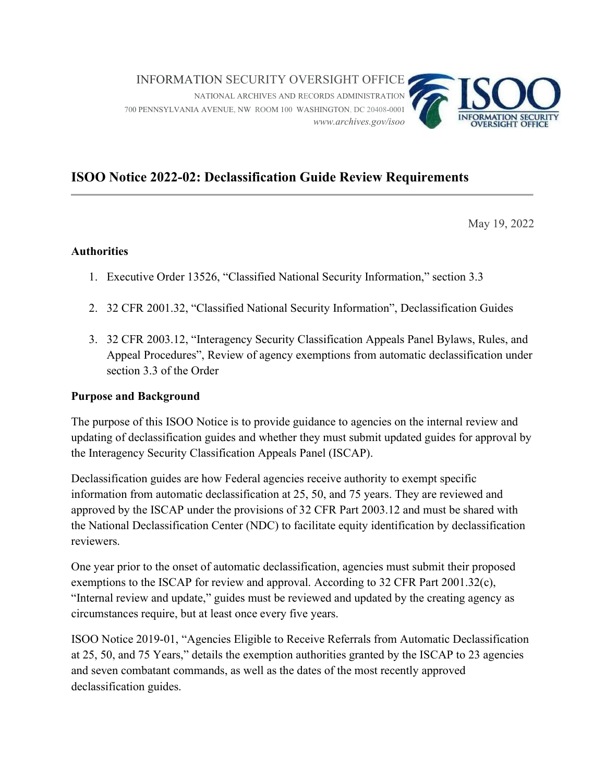

## ISOO Notice 2022-02: Declassification Guide Review Requirements

May 19, 2022

## **Authorities**

- 1. Executive Order 13526, "Classified National Security Information," section 3.3
- 2. 32 CFR 2001.32, "Classified National Security Information", Declassification Guides
- 3. 32 CFR 2003.12, "Interagency Security Classification Appeals Panel Bylaws, Rules, and Appeal Procedures", Review of agency exemptions from automatic declassification under section 3.3 of the Order

## Purpose and Background

 The purpose of this ISOO Notice is to provide guidance to agencies on the internal review and updating of declassification guides and whether they must submit updated guides for approval by the Interagency Security Classification Appeals Panel (ISCAP).

 Declassification guides are how Federal agencies receive authority to exempt specific information from automatic declassification at 25, 50, and 75 years. They are reviewed and approved by the ISCAP under the provisions of 32 CFR Part 2003.12 and must be shared with the National Declassification Center (NDC) to facilitate equity identification by declassification reviewers.

 One year prior to the onset of automatic declassification, agencies must submit their proposed exemptions to the ISCAP for review and approval. According to 32 CFR Part 2001.32(c), "Internal review and update," guides must be reviewed and updated by the creating agency as circumstances require, but at least once every five years.

 ISOO Notice 2019-01, "Agencies Eligible to Receive Referrals from Automatic Declassification at 25, 50, and 75 Years," details the exemption authorities granted by the ISCAP to 23 agencies and seven combatant commands, as well as the dates of the most recently approved declassification guides.